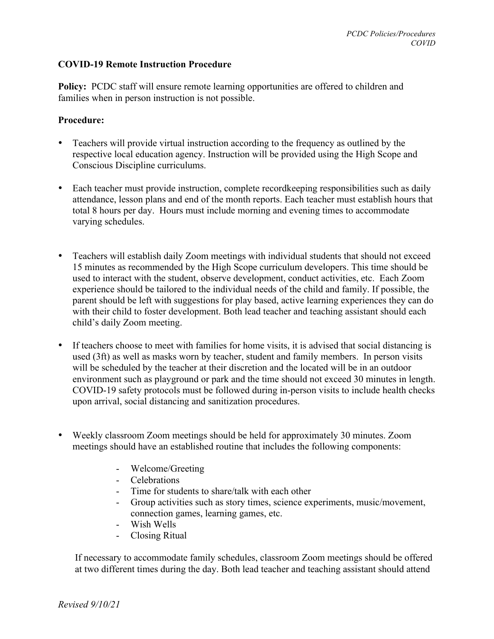## **COVID-19 Remote Instruction Procedure**

**Policy:** PCDC staff will ensure remote learning opportunities are offered to children and families when in person instruction is not possible.

## **Procedure:**

- Teachers will provide virtual instruction according to the frequency as outlined by the respective local education agency. Instruction will be provided using the High Scope and Conscious Discipline curriculums.
- Each teacher must provide instruction, complete record keeping responsibilities such as daily attendance, lesson plans and end of the month reports. Each teacher must establish hours that total 8 hours per day. Hours must include morning and evening times to accommodate varying schedules.
- Teachers will establish daily Zoom meetings with individual students that should not exceed 15 minutes as recommended by the High Scope curriculum developers. This time should be used to interact with the student, observe development, conduct activities, etc. Each Zoom experience should be tailored to the individual needs of the child and family. If possible, the parent should be left with suggestions for play based, active learning experiences they can do with their child to foster development. Both lead teacher and teaching assistant should each child's daily Zoom meeting.
- If teachers choose to meet with families for home visits, it is advised that social distancing is used (3ft) as well as masks worn by teacher, student and family members. In person visits will be scheduled by the teacher at their discretion and the located will be in an outdoor environment such as playground or park and the time should not exceed 30 minutes in length. COVID-19 safety protocols must be followed during in-person visits to include health checks upon arrival, social distancing and sanitization procedures.
- Weekly classroom Zoom meetings should be held for approximately 30 minutes. Zoom meetings should have an established routine that includes the following components:
	- Welcome/Greeting
	- Celebrations
	- Time for students to share/talk with each other
	- Group activities such as story times, science experiments, music/movement, connection games, learning games, etc.
	- Wish Wells
	- Closing Ritual

 If necessary to accommodate family schedules, classroom Zoom meetings should be offered at two different times during the day. Both lead teacher and teaching assistant should attend